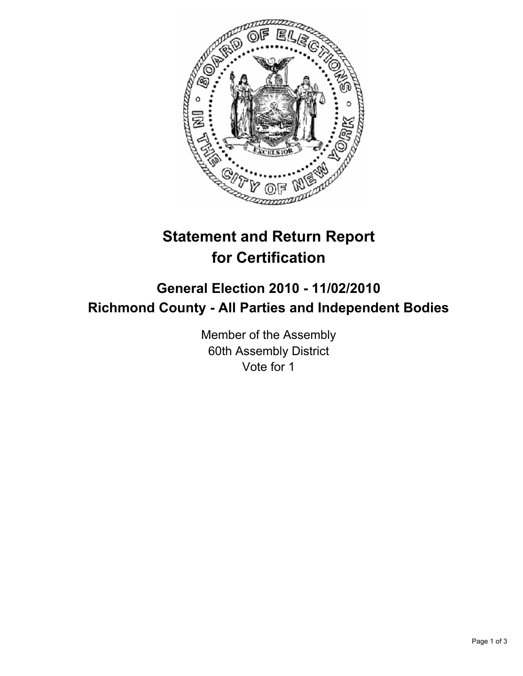

## **Statement and Return Report for Certification**

## **General Election 2010 - 11/02/2010 Richmond County - All Parties and Independent Bodies**

Member of the Assembly 60th Assembly District Vote for 1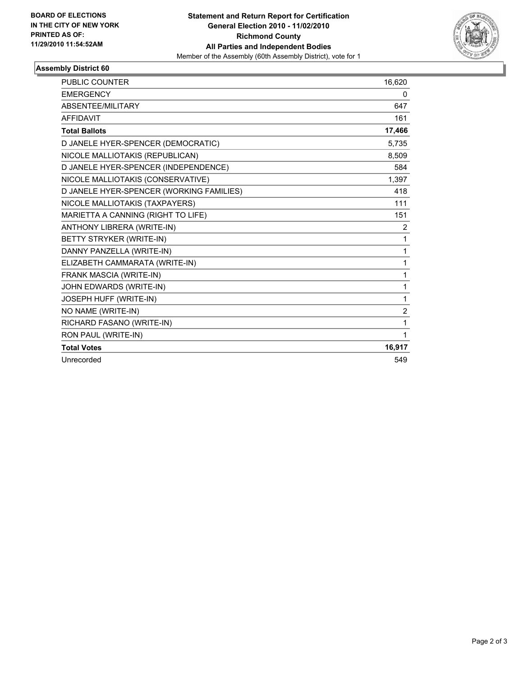

## **Assembly District 60**

| <b>PUBLIC COUNTER</b>                    | 16,620         |
|------------------------------------------|----------------|
| <b>EMERGENCY</b>                         | 0              |
| ABSENTEE/MILITARY                        | 647            |
| <b>AFFIDAVIT</b>                         | 161            |
| <b>Total Ballots</b>                     | 17,466         |
| D JANELE HYER-SPENCER (DEMOCRATIC)       | 5,735          |
| NICOLE MALLIOTAKIS (REPUBLICAN)          | 8,509          |
| D JANELE HYER-SPENCER (INDEPENDENCE)     | 584            |
| NICOLE MALLIOTAKIS (CONSERVATIVE)        | 1,397          |
| D JANELE HYER-SPENCER (WORKING FAMILIES) | 418            |
| NICOLE MALLIOTAKIS (TAXPAYERS)           | 111            |
| MARIETTA A CANNING (RIGHT TO LIFE)       | 151            |
| ANTHONY LIBRERA (WRITE-IN)               | $\overline{2}$ |
| BETTY STRYKER (WRITE-IN)                 | 1              |
| DANNY PANZELLA (WRITE-IN)                | 1              |
| ELIZABETH CAMMARATA (WRITE-IN)           | 1              |
| FRANK MASCIA (WRITE-IN)                  | 1              |
| JOHN EDWARDS (WRITE-IN)                  | 1              |
| JOSEPH HUFF (WRITE-IN)                   | 1              |
| NO NAME (WRITE-IN)                       | $\overline{2}$ |
| RICHARD FASANO (WRITE-IN)                | 1              |
| RON PAUL (WRITE-IN)                      | 1              |
| <b>Total Votes</b>                       | 16,917         |
| Unrecorded                               | 549            |